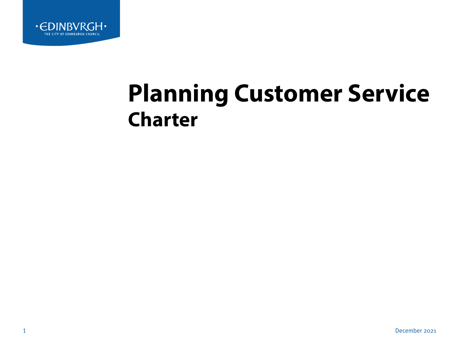

# **Planning Customer Service Charter**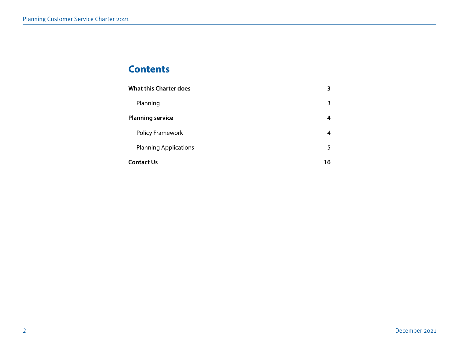# **Contents**

| <b>What this Charter does</b> | З  |
|-------------------------------|----|
| Planning                      | 3  |
| <b>Planning service</b>       | 4  |
| <b>Policy Framework</b>       | 4  |
| <b>Planning Applications</b>  | 5  |
| <b>Contact Us</b>             | 16 |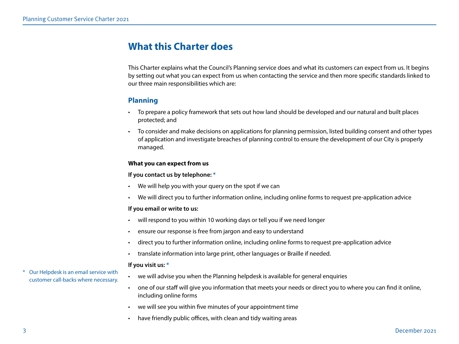# <span id="page-2-0"></span>**What this Charter does**

This Charter explains what the Council's Planning service does and what its customers can expect from us. It begins by setting out what you can expect from us when contacting the service and then more specific standards linked to our three main responsibilities which are:

# **Planning**

- To prepare a policy framework that sets out how land should be developed and our natural and built places protected; and
- To consider and make decisions on applications for planning permission, listed building consent and other types of application and investigate breaches of planning control to ensure the development of our City is properly managed.

# **What you can expect from us**

## **If you contact us by telephone: \***

- We will help you with your query on the spot if we can
- We will direct you to further information online, including online forms to request pre-application advice

# **If you email or write to us:**

- will respond to you within 10 working days or tell you if we need longer
- ensure our response is free from jargon and easy to understand
- direct you to further information online, including online forms to request pre-application advice
- translate information into large print, other languages or Braille if needed.

# **If you visit us: \***

- we will advise you when the Planning helpdesk is available for general enquiries
- one of our staff will give you information that meets your needs or direct you to where you can find it online, including online forms
- we will see you within five minutes of your appointment time
- have friendly public offices, with clean and tidy waiting areas
- Our Helpdesk is an email service with customer call-backs where necessary.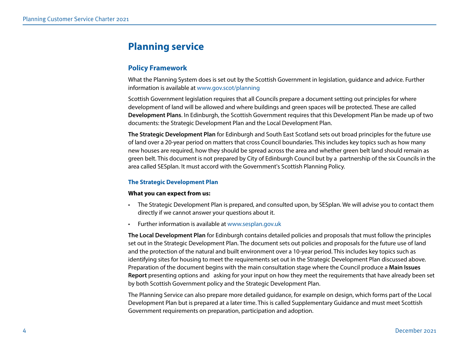# <span id="page-3-0"></span>**Planning service**

# **Policy Framework**

What the Planning System does is set out by the Scottish Government in legislation, guidance and advice. Further information is available at [www.gov.scot/planning](http://www.gov.scot/planning)

Scottish Government legislation requires that all Councils prepare a document setting out principles for where development of land will be allowed and where buildings and green spaces will be protected. These are called **Development Plans**. In Edinburgh, the Scottish Government requires that this Development Plan be made up of two documents: the Strategic Development Plan and the Local Development Plan.

**The Strategic Development Plan** for Edinburgh and South East Scotland sets out broad principles for the future use of land over a 20-year period on matters that cross Council boundaries. This includes key topics such as how many new houses are required, how they should be spread across the area and whether green belt land should remain as green belt. This document is not prepared by City of Edinburgh Council but by a partnership of the six Councils in the area called SESplan. It must accord with the Government's Scottish Planning Policy.

# **The Strategic Development Plan**

#### **What you can expect from us:**

- The Strategic Development Plan is prepared, and consulted upon, by SESplan. We will advise you to contact them directly if we cannot answer your questions about it.
- Further information is available at [www.sesplan.gov.uk](http://www.sesplan.gov.uk)

**The Local Development Plan** for Edinburgh contains detailed policies and proposals that must follow the principles set out in the Strategic Development Plan. The document sets out policies and proposals for the future use of land and the protection of the natural and built environment over a 10-year period. This includes key topics such as identifying sites for housing to meet the requirements set out in the Strategic Development Plan discussed above. Preparation of the document begins with the main consultation stage where the Council produce a **Main Issues Report** presenting options and asking for your input on how they meet the requirements that have already been set by both Scottish Government policy and the Strategic Development Plan.

The Planning Service can also prepare more detailed guidance, for example on design, which forms part of the Local Development Plan but is prepared at a later time. This is called Supplementary Guidance and must meet Scottish Government requirements on preparation, participation and adoption.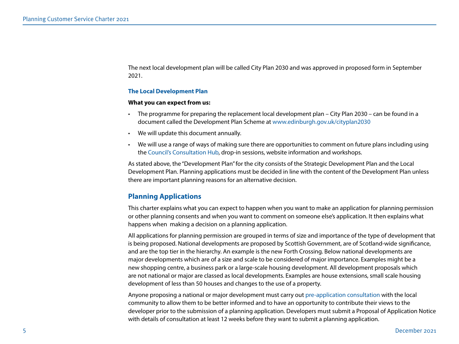<span id="page-4-0"></span>The next local development plan will be called City Plan 2030 and was approved in proposed form in September 2021.

#### **The Local Development Plan**

#### **What you can expect from us:**

- The programme for preparing the replacement local development plan City Plan 2030 can be found in a document called the Development Plan Scheme at [www.edinburgh.gov.uk/cityplan2030](http://www.edinburgh.gov.uk/cityplan2030)
- We will update this document annually.
- We will use a range of ways of making sure there are opportunities to comment on future plans including using the [Council's Consultation Hub](https://consultationhub.edinburgh.gov.uk/), drop-in sessions, website information and workshops.

As stated above, the "Development Plan" for the city consists of the Strategic Development Plan and the Local Development Plan. Planning applications must be decided in line with the content of the Development Plan unless there are important planning reasons for an alternative decision.

# **Planning Applications**

This charter explains what you can expect to happen when you want to make an application for planning permission or other planning consents and when you want to comment on someone else's application. It then explains what happens when making a decision on a planning application.

All applications for planning permission are grouped in terms of size and importance of the type of development that is being proposed. National developments are proposed by Scottish Government, are of Scotland-wide significance, and are the top tier in the hierarchy. An example is the new Forth Crossing. Below national developments are major developments which are of a size and scale to be considered of major importance. Examples might be a new shopping centre, a business park or a large-scale housing development. All development proposals which are not national or major are classed as local developments. Examples are house extensions, small scale housing development of less than 50 houses and changes to the use of a property.

Anyone proposing a national or major development must carry out [pre-application consultation](https://www.edinburgh.gov.uk/planning-applications-1/apply-major-development-planning-permission?documentId=12564&categoryId=20307) with the local community to allow them to be better informed and to have an opportunity to contribute their views to the developer prior to the submission of a planning application. Developers must submit a Proposal of Application Notice with details of consultation at least 12 weeks before they want to submit a planning application.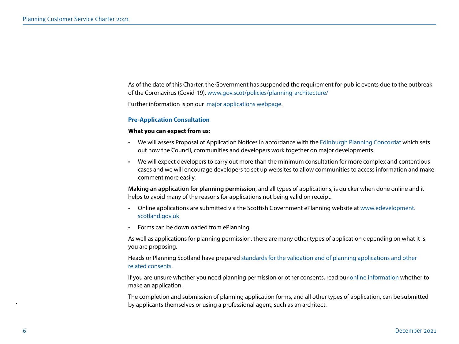As of the date of this Charter, the Government has suspended the requirement for public events due to the outbreak of the Coronavirus (Covid-19). [www.gov.scot/policies/planning-architecture/](http://www.gov.scot/policies/planning-architecture/)

Further information is on our [major applications webpage](https://www.edinburgh.gov.uk/planning-applications-1/apply-major-development-planning-permission).

#### **Pre-Application Consultation**

#### **What you can expect from us:**

- We will assess Proposal of Application Notices in accordance with the [Edinburgh Planning Concordat](https://www.edinburgh.gov.uk/downloads/file/23151/edinburgh-planning-concordat) which sets out how the Council, communities and developers work together on major developments.
- We will expect developers to carry out more than the minimum consultation for more complex and contentious cases and we will encourage developers to set up websites to allow communities to access information and make comment more easily.

**Making an application for planning permission**, and all types of applications, is quicker when done online and it helps to avoid many of the reasons for applications not being valid on receipt.

- Online applications are submitted via the Scottish Government ePlanning website at [www.edevelopment.](https://www.edevelopment.scot/eDevelopmentClient/default.aspx) [scotland.gov.uk](https://www.edevelopment.scot/eDevelopmentClient/default.aspx)
- Forms can be downloaded from ePlanning.

As well as applications for planning permission, there are many other types of application depending on what it is you are proposing.

Heads or Planning Scotland have prepared [standards for the validation and of planning applications and other](https://www.edinburgh.gov.uk/downloads/file/23158/validation-of-applications-guidance-hops-)  [related consents.](https://www.edinburgh.gov.uk/downloads/file/23158/validation-of-applications-guidance-hops-) 

If you are unsure whether you need planning permission or other consents, read our [online information](https://www.edinburgh.gov.uk/planning-applications-1/apply-planning-permission) whether to make an application.

The completion and submission of planning application forms, and all other types of application, can be submitted by applicants themselves or using a professional agent, such as an architect.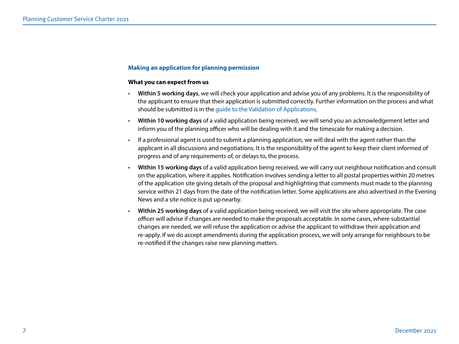#### **Making an application for planning permission**

#### **What you can expect from us**

- **Within 5 working days**, we will check your application and advise you of any problems. It is the responsibility of the applicant to ensure that their application is submitted correctly. Further information on the process and what should be submitted is in the [guide to the Validation of Applications.](https://www.edinburgh.gov.uk/downloads/file/23158/validation-of-applications-guidance-hops-)
- **Within 10 working days** of a valid application being received, we will send you an acknowledgement letter and inform you of the planning officer who will be dealing with it and the timescale for making a decision.
- If a professional agent is used to submit a planning application, we will deal with the agent rather than the applicant in all discussions and negotiations. It is the responsibility of the agent to keep their client informed of progress and of any requirements of, or delays to, the process.
- **Within 15 working days** of a valid application being received, we will carry out neighbour notification and consult on the application, where it applies. Notification involves sending a letter to all postal properties within 20 metres of the application site giving details of the proposal and highlighting that comments must made to the planning service within 21 days from the date of the notification letter. Some applications are also advertised in the Evening News and a site notice is put up nearby.
- **Within 25 working days** of a valid application being received, we will visit the site where appropriate. The case officer will advise if changes are needed to make the proposals acceptable. In some cases, where substantial changes are needed, we will refuse the application or advise the applicant to withdraw their application and re-apply. If we do accept amendments during the application process, we will only arrange for neighbours to be re-notified if the changes raise new planning matters.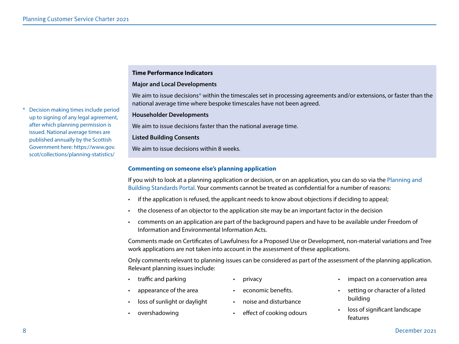#### **Time Performance Indicators**

#### **Major and Local Developments**

We aim to issue decisions\* within the timescales set in processing agreements and/or extensions, or faster than the national average time where bespoke timescales have not been agreed.

#### **Householder Developments**

We aim to issue decisions faster than the national average time.

#### **Listed Building Consents**

We aim to issue decisions within 8 weeks.

#### **Commenting on someone else's planning application**

If you wish to look at a planning application or decision, or on an application, you can do so via the [Planning and](https://www.edinburgh.gov.uk/planning-applications-1/view-comment-planning-applications/1)  [Building](https://www.edinburgh.gov.uk/planning-applications-1/view-comment-planning-applications/1) [Standards Portal.](mailto:https://www.edinburgh.gov.uk/planning-applications-1/view-comment-planning-applications/1?subject=) Your comments cannot be treated as confidential for a number of reasons:

- if the application is refused, the applicant needs to know about objections if deciding to appeal;
- the closeness of an objector to the application site may be an important factor in the decision
- comments on an application are part of the background papers and have to be available under Freedom of Information and Environmental Information Acts.

Comments made on Certificates of Lawfulness for a Proposed Use or Development, non-material variations and Tree work applications are not taken into account in the assessment of these applications.

Only comments relevant to planning issues can be considered as part of the assessment of the planning application. Relevant planning issues include:

- traffic and parking
- privacy
- appearance of the area
	- economic benefits.
- loss of sunlight or daylight
	-
- overshadowing

effect of cooking odours

• noise and disturbance

- impact on a conservation area
- setting or character of a listed building
- loss of significant landscape features

**Decision making times include period** up to signing of any legal agreement, after which planning permission is issued. National average times are published annually by the Scottish Government here: [https://www.gov.](https://www.gov.scot/collections/planning-statistics/) [scot/collections/planning-statistics/](https://www.gov.scot/collections/planning-statistics/)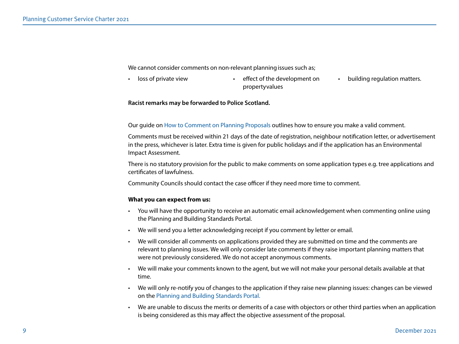We cannot consider comments on non-relevant planning issues such as;

- 
- loss of private view **•** effect of the development on property values
- building regulation matters.

#### **Racist remarks may be forwarded to Police Scotland.**

Our guide on [How to Comment on Planning Proposals](https://www.edinburgh.gov.uk/downloads/file/27883/how-to-comment-on-planning-applications) outlines how to ensure you make a valid comment.

Comments must be received within 21 days of the date of registration, neighbour notification letter, or advertisement in the press, whichever is later. Extra time is given for public holidays and if the application has an Environmental Impact Assessment.

There is no statutory provision for the public to make comments on some application types e.g. tree applications and certificates of lawfulness.

Community Councils should contact the case officer if they need more time to comment.

#### **What you can expect from us:**

- You will have the opportunity to receive an automatic email acknowledgement when commenting online using the Planning and Building Standards Portal.
- We will send you a letter acknowledging receipt if you comment by letter or email.
- We will consider all comments on applications provided they are submitted on time and the comments are relevant to planning issues. We will only consider late comments if they raise important planning matters that were not previously considered. We do not accept anonymous comments.
- We will make your comments known to the agent, but we will not make your personal details available at that time.
- We will only re-notify you of changes to the application if they raise new planning issues: changes can be viewed on the [Planning and Building Standards Portal.](https://citydev-portal.edinburgh.gov.uk/idoxpa-web/search.do?action=simple&searchType=Application)
- We are unable to discuss the merits or demerits of a case with objectors or other third parties when an application is being considered as this may affect the objective assessment of the proposal.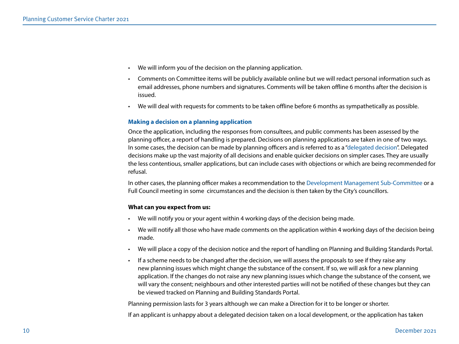- We will inform you of the decision on the planning application.
- Comments on Committee items will be publicly available online but we will redact personal information such as email addresses, phone numbers and signatures. Comments will be taken offline 6 months after the decision is issued.
- We will deal with requests for comments to be taken offline before 6 months as sympathetically as possible.

#### **Making a decision on a planning application**

Once the application, including the responses from consultees, and public comments has been assessed by the planning officer, a report of handling is prepared. Decisions on planning applications are taken in one of two ways. In some cases, the decision can be made by planning officers and is referred to as a ["delegated decision"](https://www.edinburgh.gov.uk/planning-decisions-2/scheme-delegation/1). Delegated decisions make up the vast majority of all decisions and enable quicker decisions on simpler cases. They are usually the less contentious, smaller applications, but can include cases with objections or which are being recommended for refusal.

In other cases, the planning officer makes a recommendation to the [Development Management Sub-Committee](https://democracy.edinburgh.gov.uk/mgCommitteeDetails.aspx?ID=148) or a Full Council meeting in some circumstances and the decision is then taken by the City's councillors.

#### **What can you expect from us:**

- We will notify you or your agent within 4 working days of the decision being made.
- We will notify all those who have made comments on the application within 4 working days of the decision being made.
- We will place a copy of the decision notice and the report of handling on [Planning](http://www.edinburgh.gov.uk/info/20140/building_warrants/593/view_building_warrants) [and Building Standards Portal](https://citydev-portal.edinburgh.gov.uk/idoxpa-web/search.do?action=simple&searchType=Application).
- If a scheme needs to be changed after the decision, we will assess the proposals to see if they raise any new planning issues which might change the substance of the consent. If so, we will ask for a new planning application. If the changes do not raise any new planning issues which change the substance of the consent, we will vary the consent; neighbours and other interested parties will not be notified of these changes but they can be viewed tracked on [Planning and Building Standards Portal.](https://citydev-portal.edinburgh.gov.uk/idoxpa-web/search.do?action=simple&searchType=Application)

Planning permission lasts for 3 years although we can make a Direction for it to be longer or shorter.

If an applicant is unhappy about a delegated decision taken on a local development, or the application has taken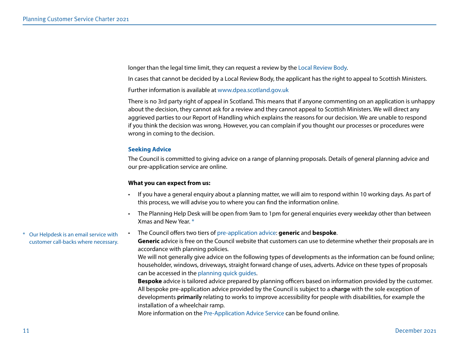longer than the legal time limit, they can request a review by the [Local Review Body](https://www.edinburgh.gov.uk/planning-applications-1/apply-planning-permission/4?documentId=12565&categoryId=20307).

In cases that cannot be decided by a Local Review Body, the applicant has the right to appeal to Scottish Ministers.

Further information is available at [www.dpea.scotland.gov.uk](http://www.dpea.scotland.gov.uk/)

There is no 3rd party right of appeal in Scotland. This means that if anyone commenting on an application is unhappy about the decision, they cannot ask for a review and they cannot appeal to Scottish Ministers. We will direct any aggrieved parties to our Report of Handling which explains the reasons for our decision. We are unable to respond if you think the decision was wrong. However, you can complain if you thought our processes or procedures were wrong in coming to the decision.

#### **Seeking Advice**

The Council is committed to giving advice on a range of planning proposals. Details of general planning advice and our pre-application service are online.

#### **What you can expect from us:**

- If you have a general enquiry about a planning matter, we will aim to respond within 10 working days. As part of this process, we will advise you to where you can find the information online.
- The Planning Help Desk will be open from 9am to 1pm for general enquiries every weekday other than between Xmas and New Year. \*

#### • The Council offers two tiers of [pre-application advice:](https://www.edinburgh.gov.uk/planning-applications-1/apply-planning-permission/2?documentId=12565&categoryId=20307) **generic** and **bespoke**.

**Generic** advice is free on the Council website that customers can use to determine whether their proposals are in accordance with planning policies.

We will not generally give advice on the following types of developments as the information can be found online; householder, windows, driveways, straight forward change of uses, adverts. Advice on these types of proposals can be accessed in the [planning quick guides.](https://www.edinburgh.gov.uk/downloads/download/13905/planning-quick-guides)

**Bespoke** advice is tailored advice prepared by planning officers based on information provided by the customer. All bespoke pre-application advice provided by the Council is subject to a **charge** with the sole exception of developments **primarily** relating to works to improve accessibility for people with disabilities, for example the installation of a wheelchair ramp.

More information on the [Pre-Application Advice Service](https://www.edinburgh.gov.uk/planning-applications-1/apply-planning-permission/2?documentId=12565&categoryId=20307) can be found online.

Our Helpdesk is an email service with customer call-backs where necessary.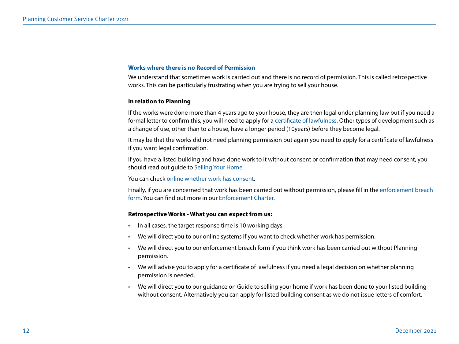#### **Works where there is no Record of Permission**

We understand that sometimes work is carried out and there is no record of permission. This is called retrospective works. This can be particularly frustrating when you are trying to sell your house.

#### **In relation to Planning**

If the works were done more than 4 years ago to your house, [they are then legal under planning law but if you need a](http://www.edinburgh.gov.uk/info/20067/planning_applications/409/apply_for_a_certificate_of_lawfulness)  [formal](http://www.edinburgh.gov.uk/info/20067/planning_applications/409/apply_for_a_certificate_of_lawfulness) letter to confirm this, you will need to apply for a [certificate of lawfulness.](https://www.edinburgh.gov.uk/planning-applications-1/apply-certificate-lawfulness/1) [Other types of development such as](http://www.edinburgh.gov.uk/info/20067/planning_applications/409/apply_for_a_certificate_of_lawfulness)  [a change of](http://www.edinburgh.gov.uk/info/20067/planning_applications/409/apply_for_a_certificate_of_lawfulness) use, other than to a house, have a longer period (10years) before they become legal.

It may be that the works did not need planning permission but again you need to apply for a certificate of lawfulness if you want legal confirmation.

If you have a listed building and have done work to it without consent or confirmation that may need consent, you should read out guide to [Selling Your Home.](https://www.edinburgh.gov.uk/downloads/file/23756/guide-to-selling-your-home)

You can check [online whether work has consent.](https://www.edinburgh.gov.uk/planning-decisions-2/historical-planning-records/1)

Finally, if you are concerned that work has been carried out without permission, please fill in the [enforcement breach](https://www.edinburgh.gov.uk/enforcement-2/report-work-without-planning-permission)  [form](https://www.edinburgh.gov.uk/enforcement-2/report-work-without-planning-permission). You can find out more in our [Enforcement Charter.](https://www.edinburgh.gov.uk/downloads/download/13395/planning-and-building-standards-charters)

#### **Retrospective Works - What you can expect from us:**

- In all cases, the target response time is 10 working days.
- We will direct you to our online systems if you want to check whether work has permission.
- We will direct you to our [enforcement breach form](https://www.edinburgh.gov.uk/enforcement-2/report-work-without-planning-permission) if you think work has been carried out without Planning permission.
- We will advise you to apply for a [certificate of lawfulness](https://www.edinburgh.gov.uk/planning-applications-1/apply-certificate-lawfulness/1) if you need a legal decision on whether planning permission is needed.
- We will direct you to our guidance on [Guide to selling your home](https://www.edinburgh.gov.uk/downloads/file/23756/guide-to-selling-your-home) if work has been done to your listed building without consent. Alternatively you can apply for [listed building consent](https://www.edinburgh.gov.uk/planning-applications-1/apply-listed-building-consent) as we do not issue letters of comfort.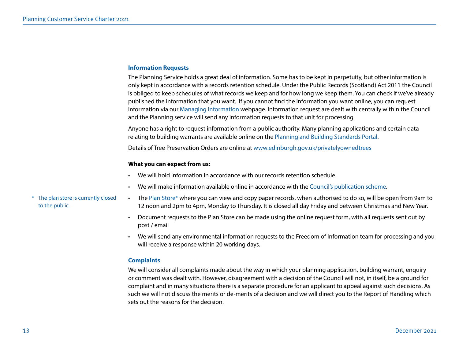#### **Information Requests**

The Planning Service holds a great deal of information. Some has to be kept in perpetuity, but other information is only kept in accordance with a records retention schedule. Under the Public Records (Scotland) Act 2011 the Council is obliged to keep schedules of what records we keep and for how long we keep them. You can check if we've already published the information that you want. If you cannot find the information you want online, you can request information via our [Managing Information](https://www.edinburgh.gov.uk/managing-information) webpage. Information request are dealt with centrally within the Council and the Planning service will send any information requests to that unit for processing.

Anyone has a right to request information from a public authority. Many planning applications and certain data relating to building warrants are available online on the [Planning and Building Standards Portal.](https://citydev-portal.edinburgh.gov.uk/idoxpa-web/search.do?action=simple&searchType=Application)

Details of Tree Preservation Orders are online at [www.edinburgh.gov.uk/privatelyownedtrees](http://www.edinburgh.gov.uk/privatelyownedtrees)

#### **What you can expect from us:**

- We will hold information in accordance with our records retention schedule.
- We will make information available online in accordance with the [Council's publication scheme.](https://www.edinburgh.gov.uk/downloads/download/13234/Scheme%20of%20publication)
- [The](http://www.edinburgh.gov.uk/info/20032/access_to_information/896/how_to_find_or_ask_for_information) [Plan Store\\*](https://www.edinburgh.gov.uk/building-warrant-records/building-standards-plan-store) where you can view and copy paper records, when authorised to do so, will be open from 9am to 12 noon and 2pm to 4pm, Monday to Thursday. It is closed all day Friday and between Christmas and New Year.
- Document requests to the Plan Store can be made using the online request form, with all requests sent out by post / email
- We will send any environmental information requests to the Freedom of Information team for processing and you will receive a response within 20 working days.

#### **Complaints**

We will consider all complaints made about the way in which your planning application, building warrant, enquiry or comment was dealt with. However, disagreement with a decision of the Council will not, in itself, be a ground for complaint and in many situations there is a separate procedure for an applicant to appeal against such decisions. As such we will not discuss the merits or de-merits of a decision and we will direct you to the Report of Handling which sets out the reasons for the decision.

\* The plan store is currently closed to the public.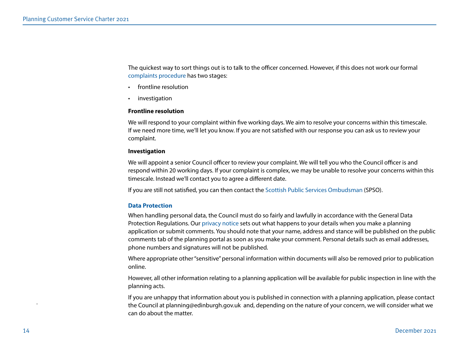The quickest way to sort things out is to talk to the officer concerned. However, if this does not work our formal [complaints procedure](https://www.edinburgh.gov.uk/contact-us/comments-complaints) has two stages:

- frontline resolution
- **investigation**

#### **Frontline resolution**

We will respond to your complaint within five working days. We aim to resolve your concerns within this timescale. If we need more time, we'll let you know. If you are not satisfied with our response you can ask us to review your complaint.

#### **Investigation**

We will appoint a senior Council officer to review your complaint. We will tell you who the Council officer is and respond within 20 working days. If your complaint is complex, we may be unable to resolve your concerns within this timescale. Instead we'll contact you to agree a different date.

If you are still not satisfied, you can then contact the [Scottish Public Services Ombudsman](https://www.spso.org.uk/) (SPSO).

#### **Data Protection**

When handling personal data, the Council must do so fairly and lawfully in accordance with the General Data Protection Regulations. Our [privacy notice](https://www.edinburgh.gov.uk/downloads/file/22741/planning-and-building-privacy-notice) sets out what happens to your details when you make a planning application or submit comments. You should note that your name, address and stance will be published on the public comments tab of the planning portal as soon as you make your comment. Personal details such as email addresses, phone numbers and signatures will not be published.

Where appropriate other "sensitive" personal information within documents will also be removed prior to publication online.

However, all other information relating to a planning application will be available for public inspection in line with the planning acts.

If you are unhappy that information about you is published in connection with a planning application, please contact the Council at [planning@edinburgh.gov.uk](mailto:planning@edinburgh.gov.uk) and, depending on the nature of your concern, we will consider what we can do about the matter.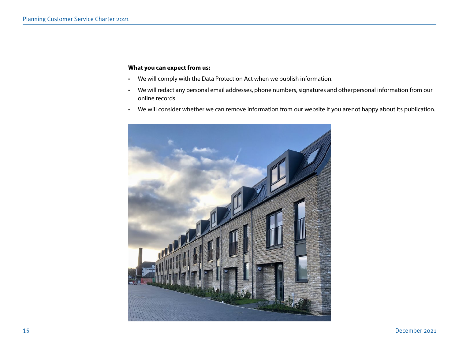## **What you can expect from us:**

- We will comply with the Data Protection Act when we publish information.
- We will redact any personal email addresses, phone numbers, signatures and other personal information from our online records
- We will consider whether we can remove information from our website if you arenot happy about its publication.